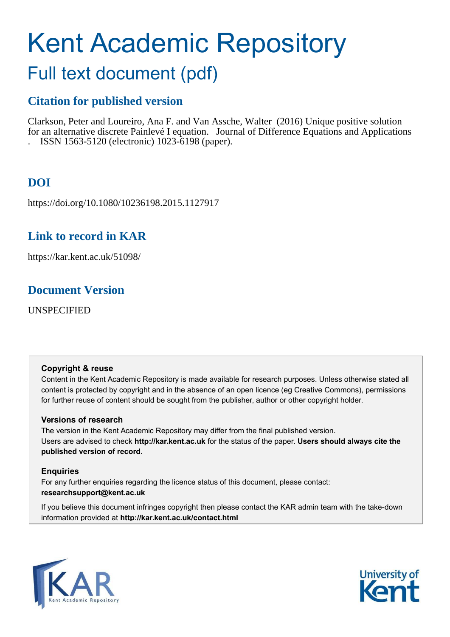# Kent Academic Repository

# Full text document (pdf)

# **Citation for published version**

Clarkson, Peter and Loureiro, Ana F. and Van Assche, Walter (2016) Unique positive solution for an alternative discrete Painlevé I equation. Journal of Difference Equations and Applications . ISSN 1563-5120 (electronic) 1023-6198 (paper).

# **DOI**

https://doi.org/10.1080/10236198.2015.1127917

# **Link to record in KAR**

https://kar.kent.ac.uk/51098/

# **Document Version**

UNSPECIFIED

### **Copyright & reuse**

Content in the Kent Academic Repository is made available for research purposes. Unless otherwise stated all content is protected by copyright and in the absence of an open licence (eg Creative Commons), permissions for further reuse of content should be sought from the publisher, author or other copyright holder.

### **Versions of research**

The version in the Kent Academic Repository may differ from the final published version. Users are advised to check **http://kar.kent.ac.uk** for the status of the paper. **Users should always cite the published version of record.**

### **Enquiries**

For any further enquiries regarding the licence status of this document, please contact: **researchsupport@kent.ac.uk**

If you believe this document infringes copyright then please contact the KAR admin team with the take-down information provided at **http://kar.kent.ac.uk/contact.html**



<span id="page-0-2"></span><span id="page-0-1"></span><span id="page-0-0"></span>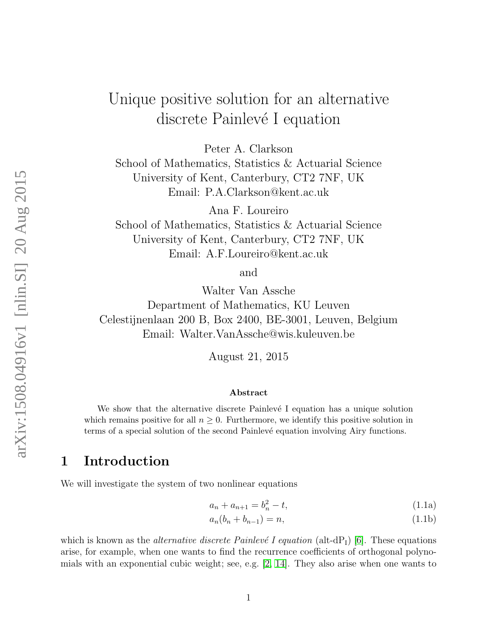# Unique positive solution for an alternative discrete Painlevé I equation

<span id="page-1-4"></span><span id="page-1-0"></span>Peter A. Clarkson

School of Mathematics, Statistics & Actuarial Science University of Kent, Canterbury, CT2 7NF, UK Email: P.A.Clarkson@kent.ac.uk

Ana F. Loureiro School of Mathematics, Statistics & Actuarial Science University of Kent, Canterbury, CT2 7NF, UK Email: A.F.Loureiro@kent.ac.uk

and

<span id="page-1-1"></span>Walter Van Assche

<span id="page-1-2"></span>Department of Mathematics, KU Leuven Celestijnenlaan 200 B, Box 2400, BE-3001, Leuven, Belgium Email: Walter.VanAssche@wis.kuleuven.be

August 21, 2015

#### Abstract

<span id="page-1-5"></span>We show that the alternative discrete Painlevé I equation has a unique solution which remains positive for all  $n \geq 0$ . Furthermore, we identify this positive solution in terms of a special solution of the second Painlevé equation involving Airy functions.

### 1 Introduction

We will investigate the system of two nonlinear equations

$$
a_n + a_{n+1} = b_n^2 - t,\tag{1.1a}
$$

<span id="page-1-3"></span>
$$
a_n(b_n + b_{n-1}) = n,
$$
\n(1.1b)

which is known as the *alternative discrete Painlevé I equation* (alt-dP<sub>I</sub>) [\[6\]](#page-22-0). These equations arise, for example, when one wants to find the recurrence coefficients of orthogonal polynomials with an exponential cubic weight; see, e.g. [\[2,](#page-21-0) [14\]](#page-22-1). They also arise when one wants to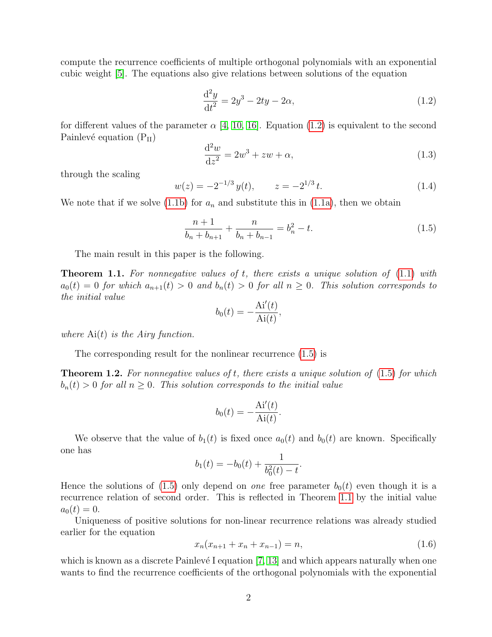compute the recurrence coefficients of multiple orthogonal polynomials with an exponential cubic weight [\[5\]](#page-21-1). The equations also give relations between solutions of the equation

$$
\frac{d^2y}{dt^2} = 2y^3 - 2ty - 2\alpha,\tag{1.2}
$$

for different values of the parameter  $\alpha$  [\[4,](#page-21-2) [10,](#page-22-2) [16\]](#page-23-0). Equation [\(1.2\)](#page-1-0) is equivalent to the second Painlevé equation  $(P_{II})$ 

$$
\frac{\mathrm{d}^2 w}{\mathrm{d}z^2} = 2w^3 + zw + \alpha,\tag{1.3}
$$

through the scaling

$$
w(z) = -2^{-1/3} y(t), \qquad z = -2^{1/3} t. \tag{1.4}
$$

We note that if we solve [\(1.1b\)](#page-0-0) for  $a_n$  and substitute this in [\(1.1a\)](#page-0-1), then we obtain

$$
\frac{n+1}{b_n + b_{n+1}} + \frac{n}{b_n + b_{n-1}} = b_n^2 - t.
$$
\n(1.5)

The main result in this paper is the following.

**Theorem 1.1.** For nonnegative values of t, there exists a unique solution of  $(1.1)$  with  $a_0(t) = 0$  for which  $a_{n+1}(t) > 0$  and  $b_n(t) > 0$  for all  $n \geq 0$ . This solution corresponds to the initial value

$$
b_0(t) = -\frac{\text{Ai}'(t)}{\text{Ai}(t)},
$$

where  $Ai(t)$  is the Airy function.

The corresponding result for the nonlinear recurrence [\(1.5\)](#page-1-1) is

**Theorem 1.2.** For nonnegative values of t, there exists a unique solution of  $(1.5)$  for which  $b_n(t) > 0$  for all  $n \geq 0$ . This solution corresponds to the initial value

$$
b_0(t) = -\frac{\text{Ai}'(t)}{\text{Ai}(t)}.
$$

We observe that the value of  $b_1(t)$  is fixed once  $a_0(t)$  and  $b_0(t)$  are known. Specifically one has

$$
b_1(t) = -b_0(t) + \frac{1}{b_0^2(t) - t}.
$$

Hence the solutions of [\(1.5\)](#page-1-1) only depend on *one* free parameter  $b_0(t)$  even though it is a recurrence relation of second order. This is reflected in Theorem [1.1](#page-1-2) by the initial value  $a_0(t) = 0.$ 

Uniqueness of positive solutions for non-linear recurrence relations was already studied earlier for the equation

$$
x_n(x_{n+1} + x_n + x_{n-1}) = n,\t\t(1.6)
$$

which is known as a discrete Painlevé I equation  $[7, 13]$  $[7, 13]$  and which appears naturally when one wants to find the recurrence coefficients of the orthogonal polynomials with the exponential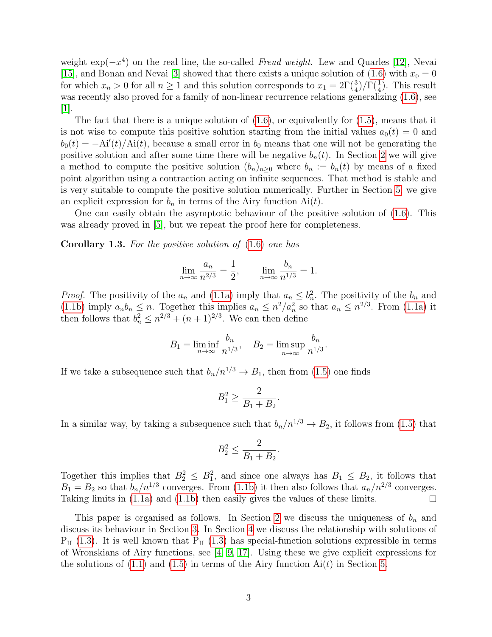<span id="page-3-0"></span>weight  $\exp(-x^4)$  on the real line, the so-called Freud weight. Lew and Quarles [\[12\]](#page-22-5), Nevai [\[15\]](#page-23-1), and Bonan and Nevai [\[3\]](#page-21-3) showed that there exists a unique solution of [\(1.6\)](#page-1-3) with  $x_0 = 0$ for which  $x_n > 0$  for all  $n \ge 1$  and this solution corresponds to  $x_1 = 2\Gamma(\frac{3}{4})/\Gamma(\frac{1}{4})$ . This result was recently also proved for a family of non-linear recurrence relations generalizing  $(1.6)$ , see  $|1|$ .

The fact that there is a unique solution of  $(1.6)$ , or equivalently for  $(1.5)$ , means that it is not wise to compute this positive solution starting from the initial values  $a_0(t) = 0$  and  $b_0(t) = -Ai'(t)/Ai(t)$ , because a small error in  $b_0$  means that one will not be generating the positive solution and after some time there will be negative  $b_n(t)$ . In Section [2](#page-3-0) we will give a method to compute the positive solution  $(b_n)_{n>0}$  where  $b_n := b_n(t)$  by means of a fixed point algorithm using a contraction acting on infinite sequences. That method is stable and is very suitable to compute the positive solution numerically. Further in Section [5,](#page-18-0) we give an explicit expression for  $b_n$  in terms of the Airy function  $Ai(t)$ .

<span id="page-3-2"></span>One can easily obtain the asymptotic behaviour of the positive solution of [\(1.6\)](#page-1-3). This was already proved in [\[5\]](#page-21-1), but we repeat the proof here for completeness.

**Corollary 1.3.** For the positive solution of  $(1.6)$  one has

<span id="page-3-5"></span><span id="page-3-1"></span>
$$
\lim_{n \to \infty} \frac{a_n}{n^{2/3}} = \frac{1}{2}, \qquad \lim_{n \to \infty} \frac{b_n}{n^{1/3}} = 1.
$$

*Proof.* The positivity of the  $a_n$  and [\(1.1a\)](#page-0-1) imply that  $a_n \n\t\leq b_n^2$ . The positivity of the  $b_n$  and [\(1.1b\)](#page-0-0) imply  $a_n b_n \leq n$ . Together this implies  $a_n \leq n^2/a_n^2$  so that  $a_n \leq n^{2/3}$ . From [\(1.1a\)](#page-0-1) it then follows that  $b_n^2 \leq n^{2/3} + (n+1)^{2/3}$ . We can then define

$$
B_1 = \liminf_{n \to \infty} \frac{b_n}{n^{1/3}}, \quad B_2 = \limsup_{n \to \infty} \frac{b_n}{n^{1/3}}.
$$

If we take a subsequence such that  $b_n/n^{1/3} \to B_1$ , then from [\(1.5\)](#page-1-1) one finds

$$
B_1^2 \ge \frac{2}{B_1 + B_2}.
$$

<span id="page-3-4"></span>In a similar way, by taking a subsequence such that  $b_n/n^{1/3} \to B_2$ , it follows from [\(1.5\)](#page-1-1) that

<span id="page-3-3"></span>
$$
B_2^2 \le \frac{2}{B_1 + B_2}.
$$

Together this implies that  $B_2^2 \leq B_1^2$ , and since one always has  $B_1 \leq B_2$ , it follows that  $B_1 = B_2$  so that  $b_n/n^{1/3}$  converges. From [\(1.1b\)](#page-0-0) it then also follows that  $a_n/n^{2/3}$  converges. Taking limits in [\(1.1a\)](#page-0-1) and [\(1.1b\)](#page-0-0) then easily gives the values of these limits.  $\Box$ 

This paper is organised as follows. In Section [2](#page-3-0) we discuss the uniqueness of  $b_n$  and discuss its behaviour in Section [3.](#page-10-0) In Section [4](#page-13-0) we discuss the relationship with solutions of  $P_{II}$  [\(1.3\)](#page-1-4). It is well known that  $P_{II}$  (1.3) has special-function solutions expressible in terms of Wronskians of Airy functions, see [\[4,](#page-21-2) [9,](#page-22-6) [17\]](#page-23-2). Using these we give explicit expressions for the solutions of  $(1.1)$  and  $(1.5)$  in terms of the Airy function Ai(t) in Section [5.](#page-18-0)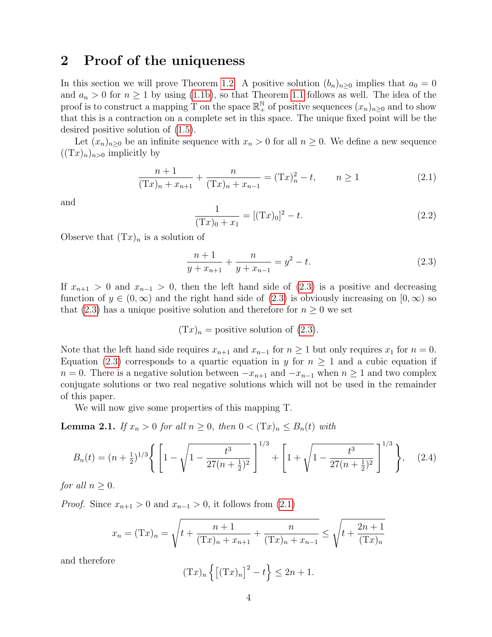### 2 Proof of the uniqueness

In this section we will prove Theorem [1.2.](#page-1-5) A positive solution  $(b_n)_{n\geq 0}$  implies that  $a_0 = 0$ and  $a_n > 0$  for  $n \ge 1$  by using [\(1.1b\)](#page-0-0), so that Theorem [1.1](#page-1-2) follows as well. The idea of the proof is to construct a mapping T on the space  $\mathbb{R}^{\mathbb{N}}_+$  of positive sequences  $(x_n)_{n\geq 0}$  and to show that this is a contraction on a complete set in this space. The unique fixed point will be the desired positive solution of [\(1.5\)](#page-1-1).

Let  $(x_n)_{n\geq 0}$  be an infinite sequence with  $x_n > 0$  for all  $n \geq 0$ . We define a new sequence  $((Tx)<sub>n</sub>)<sub>n>0</sub>$  implicitly by

$$
\frac{n+1}{(Tx)_n + x_{n+1}} + \frac{n}{(Tx)_n + x_{n-1}} = (Tx)_n^2 - t, \qquad n \ge 1
$$
\n(2.1)

and

$$
\frac{1}{(\mathbf{T}x)_0 + x_1} = [(\mathbf{T}x)_0]^2 - t.
$$
\n(2.2)

Observe that  $(Tx)_n$  is a solution of

$$
\frac{n+1}{y+x_{n+1}} + \frac{n}{y+x_{n-1}} = y^2 - t.
$$
\n(2.3)

If  $x_{n+1} > 0$  and  $x_{n-1} > 0$ , then the left hand side of  $(2.3)$  is a positive and decreasing function of  $y \in (0, \infty)$  and the right hand side of  $(2.3)$  is obviously increasing on  $[0, \infty)$  so that [\(2.3\)](#page-3-1) has a unique positive solution and therefore for  $n \geq 0$  we set

<span id="page-4-1"></span><span id="page-4-0"></span>
$$
(Tx)n
$$
 = positive solution of (2.3).

Note that the left hand side requires  $x_{n+1}$  and  $x_{n-1}$  for  $n \ge 1$  but only requires  $x_1$  for  $n = 0$ . Equation [\(2.3\)](#page-3-1) corresponds to a quartic equation in y for  $n \geq 1$  and a cubic equation if  $n = 0$ . There is a negative solution between  $-x_{n+1}$  and  $-x_{n-1}$  when  $n \ge 1$  and two complex conjugate solutions or two real negative solutions which will not be used in the remainder of this paper.

We will now give some properties of this mapping T.

**Lemma 2.1.** If  $x_n > 0$  for all  $n \geq 0$ , then  $0 < (Tx)_n \leq B_n(t)$  with

$$
B_n(t) = (n + \frac{1}{2})^{1/3} \left\{ \left[ 1 - \sqrt{1 - \frac{t^3}{27(n + \frac{1}{2})^2}} \right]^{1/3} + \left[ 1 + \sqrt{1 - \frac{t^3}{27(n + \frac{1}{2})^2}} \right]^{1/3} \right\}, \quad (2.4)
$$

for all  $n \geq 0$ .

<span id="page-4-2"></span>*Proof.* Since  $x_{n+1} > 0$  and  $x_{n-1} > 0$ , it follows from  $(2.1)$ 

$$
x_n = (Tx)_n = \sqrt{t + \frac{n+1}{(Tx)_n + x_{n+1}} + \frac{n}{(Tx)_n + x_{n-1}}} \le \sqrt{t + \frac{2n+1}{(Tx)_n}}
$$

and therefore

$$
(\mathrm{T}x)_n \left\{ \left[ (\mathrm{T}x)_n \right]^2 - t \right\} \le 2n + 1.
$$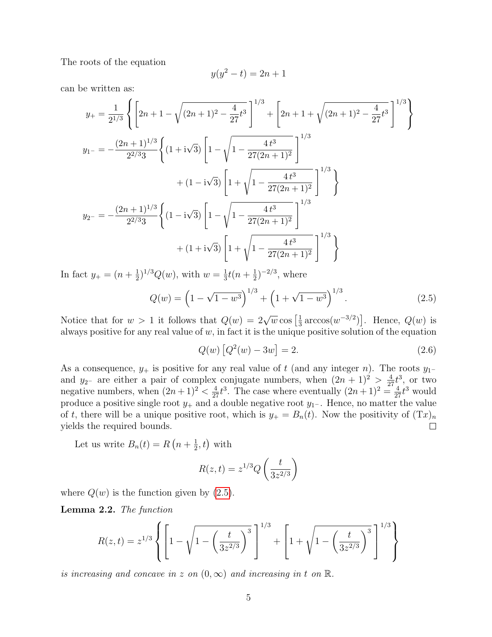The roots of the equation

$$
y(y^2 - t) = 2n + 1
$$

can be written as:

$$
y_{+} = \frac{1}{2^{1/3}} \left\{ \left[ 2n + 1 - \sqrt{(2n + 1)^{2} - \frac{4}{27}t^{3}} \right]^{1/3} + \left[ 2n + 1 + \sqrt{(2n + 1)^{2} - \frac{4}{27}t^{3}} \right]^{1/3} \right\}
$$
  
\n
$$
y_{1-} = -\frac{(2n + 1)^{1/3}}{2^{2/3}3} \left\{ (1 + i\sqrt{3}) \left[ 1 - \sqrt{1 - \frac{4t^{3}}{27(2n + 1)^{2}}} \right]^{1/3} + (1 - i\sqrt{3}) \left[ 1 + \sqrt{1 - \frac{4t^{3}}{27(2n + 1)^{2}}} \right]^{1/3} \right\}
$$
  
\n
$$
y_{2-} = -\frac{(2n + 1)^{1/3}}{2^{2/3}3} \left\{ (1 - i\sqrt{3}) \left[ 1 - \sqrt{1 - \frac{4t^{3}}{27(2n + 1)^{2}}} \right]^{1/3} \right\}
$$
  
\n
$$
+ (1 + i\sqrt{3}) \left[ 1 + \sqrt{1 - \frac{4t^{3}}{27(2n + 1)^{2}}} \right]^{1/3} \right\}
$$

In fact  $y_{+} = (n + \frac{1}{2})$  $(\frac{1}{2})^{1/3}Q(w)$ , with  $w=\frac{1}{3}$  $\frac{1}{3}t(n+\frac{1}{2})$  $(\frac{1}{2})^{-2/3}$ , where

$$
Q(w) = \left(1 - \sqrt{1 - w^3}\right)^{1/3} + \left(1 + \sqrt{1 - w^3}\right)^{1/3}.
$$
 (2.5)

Notice that for  $w > 1$  it follows that  $Q(w) = 2\sqrt{w} \cos \left[\frac{1}{3}\right]$  $\frac{1}{3} \arccos(w^{-3/2})$ . Hence,  $Q(w)$  is always positive for any real value of  $w$ , in fact it is the unique positive solution of the equation

$$
Q(w) [Q2(w) - 3w] = 2.
$$
 (2.6)

As a consequence,  $y_+$  is positive for any real value of t (and any integer n). The roots  $y_1$ and  $y_{2-}$  are either a pair of complex conjugate numbers, when  $(2n+1)^2 > \frac{4}{27}t^3$ , or two negative numbers, when  $(2n+1)^2 < \frac{4}{27}t^3$ . The case where eventually  $(2n+1)^2 = \frac{4}{27}t^3$  would produce a positive single root  $y_+$  and a double negative root  $y_1$ -. Hence, no matter the value of t, there will be a unique positive root, which is  $y_+ = B_n(t)$ . Now the positivity of  $(Tx)_n$ yields the required bounds.  $\Box$ 

<span id="page-5-1"></span>Let us write  $B_n(t) = R\left(n + \frac{1}{2}\right)$  $(\frac{1}{2},t)$  with

$$
R(z,t) = z^{1/3} Q\left(\frac{t}{3z^{2/3}}\right)
$$

where  $Q(w)$  is the function given by  $(2.5)$ .

Lemma 2.2. The function

<span id="page-5-0"></span>
$$
R(z,t) = z^{1/3} \left\{ \left[ 1 - \sqrt{1 - \left(\frac{t}{3z^{2/3}}\right)^3} \right]^{1/3} + \left[ 1 + \sqrt{1 - \left(\frac{t}{3z^{2/3}}\right)^3} \right]^{1/3} \right\}
$$

is increasing and concave in z on  $(0, \infty)$  and increasing in t on  $\mathbb{R}$ .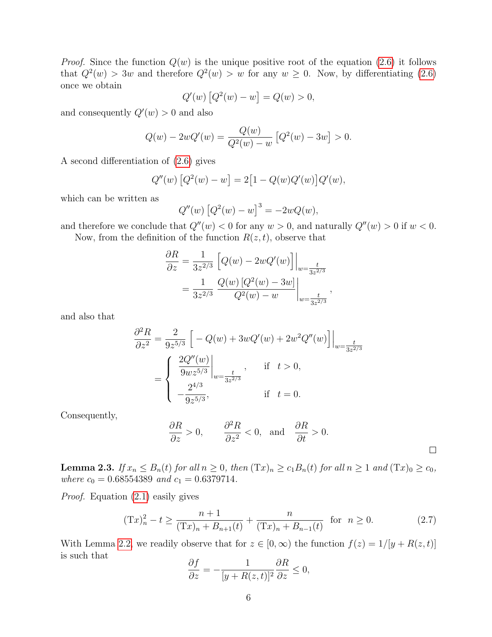*Proof.* Since the function  $Q(w)$  is the unique positive root of the equation [\(2.6\)](#page-4-1) it follows that  $Q^2(w) > 3w$  and therefore  $Q^2(w) > w$  for any  $w \ge 0$ . Now, by differentiating [\(2.6\)](#page-4-1) once we obtain

$$
Q'(w) [Q^{2}(w) - w] = Q(w) > 0,
$$

and consequently  $Q'(w) > 0$  and also

$$
Q(w) - 2wQ'(w) = \frac{Q(w)}{Q^2(w) - w} [Q^2(w) - 3w] > 0.
$$

A second differentiation of [\(2.6\)](#page-4-1) gives

$$
Q''(w) [Q^{2}(w) - w] = 2[1 - Q(w)Q'(w)]Q'(w),
$$

which can be written as

$$
Q''(w) [Q^{2}(w) - w]^{3} = -2wQ(w),
$$

and therefore we conclude that  $Q''(w) < 0$  for any  $w > 0$ , and naturally  $Q''(w) > 0$  if  $w < 0$ .

Now, from the definition of the function  $R(z, t)$ , observe that

$$
\frac{\partial R}{\partial z} = \frac{1}{3z^{2/3}} \left[ Q(w) - 2wQ'(w) \right] \Big|_{w = \frac{t}{3z^{2/3}}} \n= \frac{1}{3z^{2/3}} \frac{Q(w) [Q^2(w) - 3w]}{Q^2(w) - w} \Big|_{w = \frac{t}{3z^{2/3}}},
$$

and also that

$$
\frac{\partial^2 R}{\partial z^2} = \frac{2}{9z^{5/3}} \left[ -Q(w) + 3wQ'(w) + 2w^2Q''(w) \right] \Big|_{w = \frac{t}{3z^{2/3}}} \n= \begin{cases}\n\frac{2Q''(w)}{9wz^{5/3}} \Big|_{w = \frac{t}{3z^{2/3}}}, & \text{if } t > 0, \\
-\frac{2^{4/3}}{9z^{5/3}}, & \text{if } t = 0.\n\end{cases}
$$

Consequently,

$$
\frac{\partial R}{\partial z} > 0, \qquad \frac{\partial^2 R}{\partial z^2} < 0, \text{ and } \frac{\partial R}{\partial t} > 0.
$$

**Lemma 2.3.** If  $x_n \leq B_n(t)$  for all  $n \geq 0$ , then  $(\text{T}x)_n \geq c_1B_n(t)$  for all  $n \geq 1$  and  $(\text{T}x)_0 \geq c_0$ , where  $c_0 = 0.68554389$  and  $c_1 = 0.6379714$ .

Proof. Equation [\(2.1\)](#page-3-2) easily gives

$$
(\mathrm{T}x)_n^2 - t \ge \frac{n+1}{(\mathrm{T}x)_n + B_{n+1}(t)} + \frac{n}{(\mathrm{T}x)_n + B_{n-1}(t)} \quad \text{for} \quad n \ge 0. \tag{2.7}
$$

 $\Box$ 

With Lemma [2.2,](#page-4-2) we readily observe that for  $z \in [0, \infty)$  the function  $f(z) = 1/[y + R(z, t)]$ is such that

$$
\frac{\partial f}{\partial z} = -\frac{1}{[y + R(z, t)]^2} \frac{\partial R}{\partial z} \le 0,
$$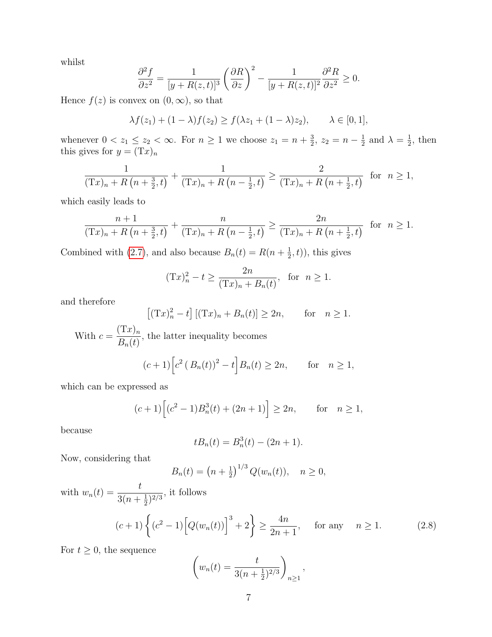whilst

$$
\frac{\partial^2 f}{\partial z^2} = \frac{1}{[y + R(z, t)]^3} \left(\frac{\partial R}{\partial z}\right)^2 - \frac{1}{[y + R(z, t)]^2} \frac{\partial^2 R}{\partial z^2} \ge 0.
$$

Hence  $f(z)$  is convex on  $(0, \infty)$ , so that

$$
\lambda f(z_1) + (1 - \lambda)f(z_2) \ge f(\lambda z_1 + (1 - \lambda)z_2), \qquad \lambda \in [0, 1],
$$

whenever  $0 < z_1 \leq z_2 < \infty$ . For  $n \geq 1$  we choose  $z_1 = n + \frac{3}{2}$  $\frac{3}{2}, z_2 = n - \frac{1}{2}$  $\frac{1}{2}$  and  $\lambda = \frac{1}{2}$  $\frac{1}{2}$ , then this gives for  $y = (Tx)_n$ 

$$
\frac{1}{(\mathrm{T}x)_n + R\left(n + \frac{3}{2}, t\right)} + \frac{1}{(\mathrm{T}x)_n + R\left(n - \frac{1}{2}, t\right)} \ge \frac{2}{(\mathrm{T}x)_n + R\left(n + \frac{1}{2}, t\right)} \quad \text{for} \quad n \ge 1,
$$

which easily leads to

$$
\frac{n+1}{(\mathrm{T}x)_n + R\left(n + \frac{3}{2}, t\right)} + \frac{n}{(\mathrm{T}x)_n + R\left(n - \frac{1}{2}, t\right)} \ge \frac{2n}{(\mathrm{T}x)_n + R\left(n + \frac{1}{2}, t\right)} \text{ for } n \ge 1.
$$

Combined with [\(2.7\)](#page-5-0), and also because  $B_n(t) = R(n + \frac{1}{2})$  $(\frac{1}{2},t)$ , this gives

$$
(Tx)_n^2 - t \ge \frac{2n}{(Tx)_n + B_n(t)},
$$
 for  $n \ge 1$ .

and therefore

$$
[(Tx)_n^2 - t] [(Tx)_n + B_n(t)] \ge 2n, \quad \text{for} \quad n \ge 1.
$$

With  $c = \frac{(\text{Tx})_n}{\text{B}(t)}$  $B_n(t)$ , the latter inequality becomes

$$
(c+1)\left[c^2(B_n(t))^2 - t\right]B_n(t) \ge 2n
$$
, for  $n \ge 1$ ,

which can be expressed as

$$
(c+1)\left[(c^2-1)B_n^3(t) + (2n+1)\right] \ge 2n
$$
, for  $n \ge 1$ ,

because

$$
tB_n(t) = B_n^3(t) - (2n + 1).
$$

Now, considering that

$$
B_n(t) = \left(n + \frac{1}{2}\right)^{1/3} Q(w_n(t)), \quad n \ge 0,
$$

with 
$$
w_n(t) = \frac{t}{3(n + \frac{1}{2})^{2/3}}
$$
, it follows  

$$
(c+1)\left\{(c^2 - 1)\left[Q(w_n(t))\right]^3 + 2\right\} \ge \frac{4n}{2n + 1}, \quad \text{for any} \quad n \ge 1.
$$
 (2.8)

For  $t \geq 0$ , the sequence

$$
\left(w_n(t) = \frac{t}{3(n+\frac{1}{2})^{2/3}}\right)_{n\geq 1},
$$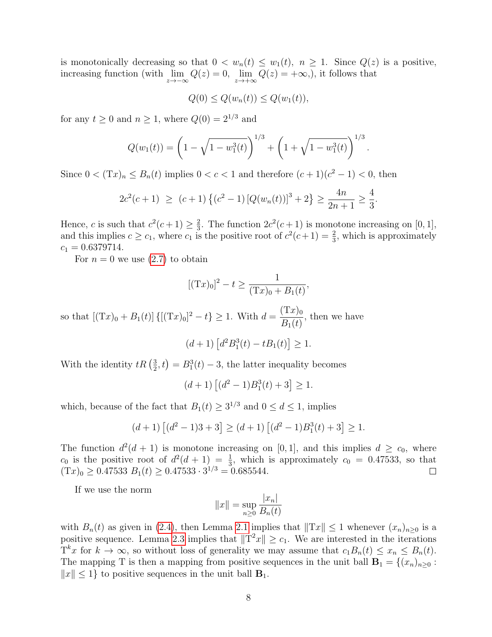is monotonically decreasing so that  $0 < w_n(t) \leq w_1(t)$ ,  $n \geq 1$ . Since  $Q(z)$  is a positive, increasing function (with  $\lim_{z \to -\infty} Q(z) = 0$ ,  $\lim_{z \to +\infty} Q(z) = +\infty$ ), it follows that

$$
Q(0) \le Q(w_n(t)) \le Q(w_1(t)),
$$

for any  $t \geq 0$  and  $n \geq 1$ , where  $Q(0) = 2^{1/3}$  and

$$
Q(w_1(t)) = \left(1 - \sqrt{1 - w_1^3(t)}\right)^{1/3} + \left(1 + \sqrt{1 - w_1^3(t)}\right)^{1/3}.
$$

Since  $0 < (Tx)_n \le B_n(t)$  implies  $0 < c < 1$  and therefore  $(c+1)(c^2-1) < 0$ , then

$$
2c^{2}(c+1) \ge (c+1)\{(c^{2}-1)\left[Q(w_{n}(t))\right]^{3}+2\} \ge \frac{4n}{2n+1} \ge \frac{4}{3}.
$$

Hence, c is such that  $c^2(c+1) \geq \frac{2}{3}$  $\frac{2}{3}$ . The function  $2c^2(c+1)$  is monotone increasing on [0, 1], and this implies  $c \geq c_1$ , where  $c_1$  is the positive root of  $c^2(c+1) = \frac{2}{3}$ , which is approximately  $c_1 = 0.6379714.$ 

For  $n = 0$  we use  $(2.7)$  to obtain

$$
[(Tx)0]2 - t \ge \frac{1}{(Tx)0 + B1(t)},
$$

so that  $[(Tx)<sub>0</sub> + B<sub>1</sub>(t)] {[(Tx)<sub>0</sub>]<sup>2</sup> - t} \ge 1$ . With  $d = \frac{(Tx)<sub>0</sub>}{B<sub>1</sub>(t)}$  $B_1(t)$ , then we have

$$
(d+1)\left[d^2B_1^3(t) - tB_1(t)\right] \ge 1.
$$

With the identity  $tR\left(\frac{3}{2}\right)$  $(\frac{3}{2}, t) = B_1^3(t) - 3$ , the latter inequality becomes

$$
(d+1)\left[ (d^2-1)B_1^3(t)+3\right]\geq 1.
$$

which, because of the fact that  $B_1(t) \geq 3^{1/3}$  and  $0 \leq d \leq 1$ , implies

<span id="page-8-0"></span>
$$
(d+1)\left[(d^2-1)3+3\right] \ge (d+1)\left[(d^2-1)B_1^3(t)+3\right] \ge 1.
$$

The function  $d^2(d+1)$  is monotone increasing on [0, 1], and this implies  $d \geq c_0$ , where  $c_0$  is the positive root of  $d^2(d+1) = \frac{1}{3}$ , which is approximately  $c_0 = 0.47533$ , so that  $(Tx)_0 \ge 0.47533 B_1(t) \ge 0.47533 \cdot 3^{1/3} = 0.685544.$ 

If we use the norm

$$
||x|| = \sup_{n \ge 0} \frac{|x_n|}{B_n(t)}
$$

with  $B_n(t)$  as given in [\(2.4\)](#page-3-3), then Lemma [2.1](#page-3-4) implies that  $||Tx|| \le 1$  whenever  $(x_n)_{n>0}$  is a positive sequence. Lemma [2.3](#page-5-1) implies that  $||T^2x|| \geq c_1$ . We are interested in the iterations  $T^k x$  for  $k \to \infty$ , so without loss of generality we may assume that  $c_1 B_n(t) \leq x_n \leq B_n(t)$ . The mapping T is then a mapping from positive sequences in the unit ball  $\mathbf{B}_1 = \{(x_n)_{n\geq 0} :$  $||x|| \leq 1$  to positive sequences in the unit ball  $\mathbf{B}_1$ .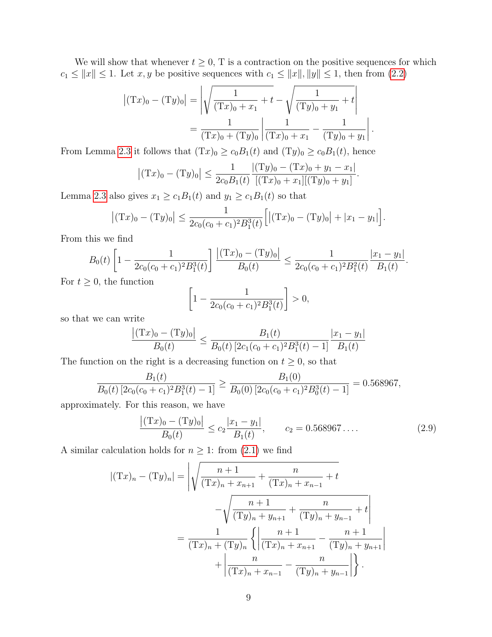We will show that whenever  $t \geq 0$ , T is a contraction on the positive sequences for which  $c_1 \le ||x|| \le 1$ . Let  $x, y$  be positive sequences with  $c_1 \le ||x||, ||y|| \le 1$ , then from [\(2.2\)](#page-3-5)

$$
\left| (\mathbf{T}x)_0 - (\mathbf{T}y)_0 \right| = \left| \sqrt{\frac{1}{(\mathbf{T}x)_0 + x_1} + t} - \sqrt{\frac{1}{(\mathbf{T}y)_0 + y_1} + t} \right|
$$

$$
= \frac{1}{(\mathbf{T}x)_0 + (\mathbf{T}y)_0} \left| \frac{1}{(\mathbf{T}x)_0 + x_1} - \frac{1}{(\mathbf{T}y)_0 + y_1} \right|
$$

.

From Lemma [2.3](#page-5-1) it follows that  $(Tx)_0 \ge c_0B_1(t)$  and  $(Ty)_0 \ge c_0B_1(t)$ , hence

$$
|(Tx)0 - (Ty)0| \le \frac{1}{2c_0B_1(t)} \frac{|(Ty)0 - (Tx)0 + y1 - x1|}{[(Ty)0 + y1](Ty)0 + y1]}.
$$

Lemma [2.3](#page-5-1) also gives  $x_1 \ge c_1 B_1(t)$  and  $y_1 \ge c_1 B_1(t)$  so that

$$
|(Tx)0 - (Ty)0| \le \frac{1}{2c_0(c_0 + c_1)^2 B_1^3(t)} [|(Tx)0 - (Ty)0| + |x1 - y1|].
$$

From this we find

$$
B_0(t)\left[1-\frac{1}{2c_0(c_0+c_1)^2B_1^3(t)}\right]\frac{|(Tx)_0-(Ty)_0|}{B_0(t)} \le \frac{1}{2c_0(c_0+c_1)^2B_1^2(t)}\frac{|x_1-y_1|}{B_1(t)}.
$$

For  $t \geq 0$ , the function

$$
\left[1 - \frac{1}{2c_0(c_0 + c_1)^2 B_1^3(t)}\right] > 0,
$$

so that we can write

$$
\frac{|(\mathrm{T}x)_0 - (\mathrm{T}y)_0|}{B_0(t)} \le \frac{B_1(t)}{B_0(t) [2c_1(c_0 + c_1)^2 B_1^3(t) - 1]} \frac{|x_1 - y_1|}{B_1(t)}
$$

The function on the right is a decreasing function on  $t \geq 0$ , so that

$$
\frac{B_1(t)}{B_0(t) [2c_0(c_0 + c_1)^2 B_1^3(t) - 1]} \ge \frac{B_1(0)}{B_0(0) [2c_0(c_0 + c_1)^2 B_0^3(t) - 1]} = 0.568967,
$$

approximately. For this reason, we have

$$
\frac{|(\text{Tx})_0 - (\text{Ty})_0|}{B_0(t)} \le c_2 \frac{|x_1 - y_1|}{B_1(t)}, \qquad c_2 = 0.568967\dots
$$
\n(2.9)

A similar calculation holds for  $n \geq 1$ : from  $(2.1)$  we find

<span id="page-9-0"></span>
$$
|(Tx)_n - (Ty)_n| = \left| \sqrt{\frac{n+1}{(Tx)_n + x_{n+1}} + \frac{n}{(Tx)_n + x_{n-1}} + t} \right|
$$
  
= 
$$
\frac{1}{(Tx)_n + (Ty)_n} \left\{ \left| \frac{n+1}{(Tx)_n + x_{n+1}} - \frac{n+1}{(Ty)_n + y_{n+1}} \right| + \left| \frac{n}{(Tx)_n + x_{n-1}} - \frac{n}{(Ty)_n + y_{n+1}} \right| \right\}.
$$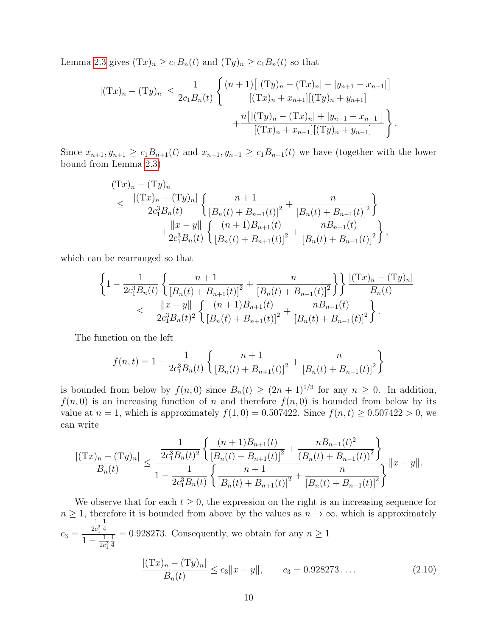Lemma [2.3](#page-5-1) gives  $(Tx)_n \ge c_1B_n(t)$  and  $(Ty)_n \ge c_1B_n(t)$  so that

$$
|(Tx)_n - (Ty)_n| \le \frac{1}{2c_1B_n(t)} \left\{ \frac{(n+1)[|(Ty)_n - (Tx)_n| + |y_{n+1} - x_{n+1}|]}{[(Tx)_n + x_{n+1}][(Ty)_n + y_{n+1}]} + \frac{n[|(Ty)_n - (Tx)_n| + |y_{n-1} - x_{n-1}|]}{[(Tx)_n + x_{n-1}][(Ty)_n + y_{n-1}]} \right\}.
$$

Since  $x_{n+1}, y_{n+1} \ge c_1 B_{n+1}(t)$  and  $x_{n-1}, y_{n-1} \ge c_1 B_{n-1}(t)$  we have (together with the lower bound from Lemma [2.3\)](#page-5-1)

$$
\begin{split} |(\mathbf{T}x)_n - (\mathbf{T}y)_n| \\ &\leq \frac{|(\mathbf{T}x)_n - (\mathbf{T}y)_n|}{2c_1^3 B_n(t)} \left\{ \frac{n+1}{\left[B_n(t) + B_{n+1}(t)\right]^2} + \frac{n}{\left[B_n(t) + B_{n-1}(t)\right]^2} \right\} \\ &\quad + \frac{\|x - y\|}{2c_1^3 B_n(t)} \left\{ \frac{(n+1)B_{n+1}(t)}{\left[B_n(t) + B_{n+1}(t)\right]^2} + \frac{nB_{n-1}(t)}{\left[B_n(t) + B_{n-1}(t)\right]^2} \right\}, \end{split}
$$

<span id="page-10-0"></span>which can be rearranged so that

$$
\left\{1 - \frac{1}{2c_1^3 B_n(t)} \left\{ \frac{n+1}{\left[B_n(t) + B_{n+1}(t)\right]^2} + \frac{n}{\left[B_n(t) + B_{n-1}(t)\right]^2} \right\} \right\} \frac{|(Tx)_n - (Ty)_n|}{B_n(t)} \n\leq \frac{||x - y||}{2c_1^3 B_n(t)^2} \left\{ \frac{(n+1)B_{n+1}(t)}{\left[B_n(t) + B_{n+1}(t)\right]^2} + \frac{nB_{n-1}(t)}{\left[B_n(t) + B_{n-1}(t)\right]^2} \right\}.
$$

The function on the left

$$
f(n,t) = 1 - \frac{1}{2c_1^3 B_n(t)} \left\{ \frac{n+1}{\left[B_n(t) + B_{n+1}(t)\right]^2} + \frac{n}{\left[B_n(t) + B_{n-1}(t)\right]^2} \right\}
$$

is bounded from below by  $f(n,0)$  since  $B_n(t) \ge (2n+1)^{1/3}$  for any  $n \ge 0$ . In addition,  $f(n, 0)$  is an increasing function of n and therefore  $f(n, 0)$  is bounded from below by its value at  $n = 1$ , which is approximately  $f(1, 0) = 0.507422$ . Since  $f(n, t) \ge 0.507422 > 0$ , we can write

$$
\frac{\left| (\mathrm{T}x)_n - (\mathrm{T}y)_n \right|}{B_n(t)} \le \frac{\frac{1}{2c_1^3 B_n(t)^2} \left\{ \frac{(n+1)B_{n+1}(t)}{\left[ B_n(t) + B_{n+1}(t) \right]^2} + \frac{nB_{n-1}(t)^2}{\left( B_n(t) + B_{n-1}(t) \right)^2} \right\}}{1 - \frac{1}{2c_1^3 B_n(t)} \left\{ \frac{n+1}{\left[ B_n(t) + B_{n+1}(t) \right]^2} + \frac{n}{\left[ B_n(t) + B_{n-1}(t) \right]^2} \right\}} \|x - y\|.
$$

<span id="page-10-1"></span>We observe that for each  $t \geq 0$ , the expression on the right is an increasing sequence for  $n \geq 1$ , therefore it is bounded from above by the values as  $n \to \infty$ , which is approximately  $c_3 =$ 1  $2c_1^3$ 1 4  $1 - \frac{1}{2c}$  $\overline{2c_1^3}$ 1  $\frac{1}{4}$  = 0.928273. Consequently, we obtain for any  $n \ge 1$ 

$$
\frac{|(\mathrm{T}x)_n - (\mathrm{T}y)_n|}{B_n(t)} \le c_3 \|x - y\|, \qquad c_3 = 0.928273\dots
$$
\n(2.10)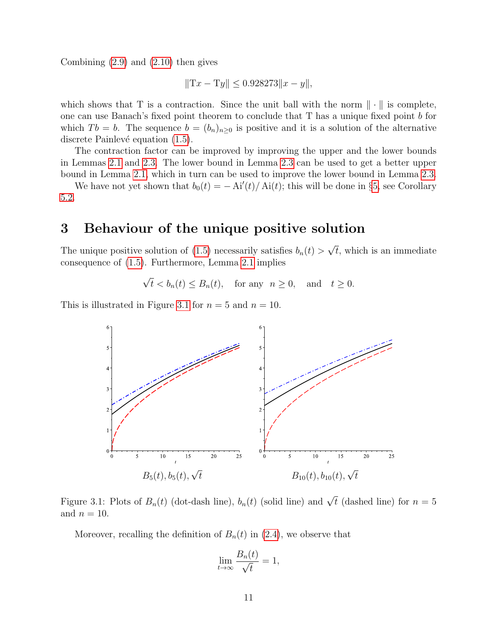Combining  $(2.9)$  and  $(2.10)$  then gives

<span id="page-11-4"></span>
$$
||Tx - Ty|| \le 0.928273 ||x - y||,
$$

which shows that T is a contraction. Since the unit ball with the norm  $\|\cdot\|$  is complete, one can use Banach's fixed point theorem to conclude that T has a unique fixed point b for which  $T b = b$ . The sequence  $b = (b_n)_{n>0}$  is positive and it is a solution of the alternative discrete Painlevé equation  $(1.5)$ .

The contraction factor can be improved by improving the upper and the lower bounds in Lemmas [2.1](#page-3-4) and [2.3.](#page-5-1) The lower bound in Lemma [2.3](#page-5-1) can be used to get a better upper bound in Lemma [2.1,](#page-3-4) which in turn can be used to improve the lower bound in Lemma [2.3.](#page-5-1)

We have not yet shown that  $b_0(t) = -\mathrm{Ai}'(t)/\mathrm{Ai}(t)$ ; this will be done in §[5,](#page-18-0) see Corollary [5.2.](#page-20-0)

### 3 Behaviour of the unique positive solution

The unique positive solution of [\(1.5\)](#page-1-1) necessarily satisfies  $b_n(t) > \sqrt{t}$ , which is an immediate consequence of [\(1.5\)](#page-1-1). Furthermore, Lemma [2.1](#page-3-4) implies

<span id="page-11-1"></span><span id="page-11-0"></span> $\sqrt{t} < b_n(t) \le B_n(t)$ , for any  $n \ge 0$ , and  $t \ge 0$ .

This is illustrated in Figure [3.1](#page-10-1) for  $n = 5$  and  $n = 10$ .



Figure 3.1: Plots of  $B_n(t)$  (dot-dash line),  $b_n(t)$  (solid line) and  $\sqrt{t}$  (dashed line) for  $n=5$ and  $n = 10$ .

<span id="page-11-5"></span>Moreover, recalling the definition of  $B_n(t)$  in [\(2.4\)](#page-3-3), we observe that

<span id="page-11-3"></span><span id="page-11-2"></span>
$$
\lim_{t \to \infty} \frac{B_n(t)}{\sqrt{t}} = 1,
$$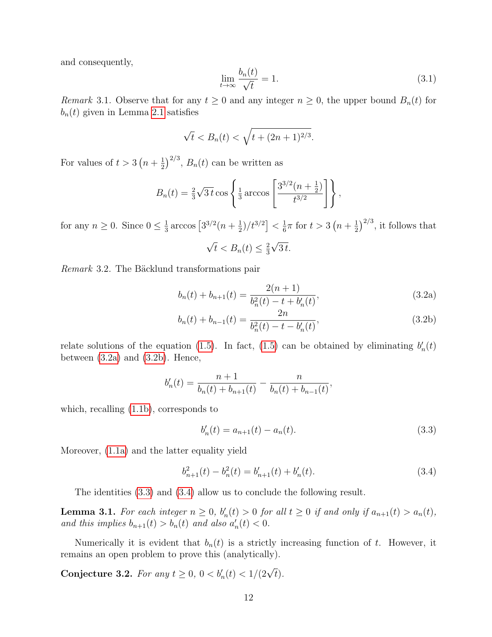<span id="page-12-0"></span>and consequently,

$$
\lim_{t \to \infty} \frac{b_n(t)}{\sqrt{t}} = 1. \tag{3.1}
$$

*Remark* 3.1. Observe that for any  $t \geq 0$  and any integer  $n \geq 0$ , the upper bound  $B_n(t)$  for  $b_n(t)$  given in Lemma [2.1](#page-3-4) satisfies

$$
\sqrt{t}
$$
 <  $B_n(t)$  <  $\sqrt{t + (2n + 1)^{2/3}}$ .

For values of  $t > 3(n + \frac{1}{2})$  $\frac{1}{2}$ )<sup>2/3</sup>,  $B_n(t)$  can be written as

$$
B_n(t) = \frac{2}{3}\sqrt{3t} \cos \left\{ \frac{1}{3} \arccos \left[ \frac{3^{3/2}(n+\frac{1}{2})}{t^{3/2}} \right] \right\},\,
$$

for any  $n \geq 0$ . Since  $0 \leq \frac{1}{3}$  $\frac{1}{3} \arccos \left[ 3^{3/2} (n + \frac{1}{2}) \right]$  $\frac{1}{2})/t^{3/2}$  <  $\frac{1}{6}$  $\frac{1}{6}\pi$  for  $t > 3\left(n + \frac{1}{2}\right)$  $\frac{1}{2}$ )<sup>2/3</sup>, it follows that

$$
\sqrt{t} < B_n(t) \leq \frac{2}{3}\sqrt{3\,t}.
$$

Remark 3.2. The Bäcklund transformations pair

$$
b_n(t) + b_{n+1}(t) = \frac{2(n+1)}{b_n^2(t) - t + b_n'(t)},
$$
\n(3.2a)

$$
b_n(t) + b_{n-1}(t) = \frac{2n}{b_n^2(t) - t - b_n'(t)},
$$
\n(3.2b)

relate solutions of the equation [\(1.5\)](#page-1-1). In fact, (1.5) can be obtained by eliminating  $b'_n(t)$ between  $(3.2a)$  and  $(3.2b)$ . Hence,

$$
b'_{n}(t) = \frac{n+1}{b_{n}(t) + b_{n+1}(t)} - \frac{n}{b_{n}(t) + b_{n-1}(t)},
$$

which, recalling [\(1.1b\)](#page-0-0), corresponds to

$$
b'_n(t) = a_{n+1}(t) - a_n(t).
$$
\n(3.3)

Moreover, [\(1.1a\)](#page-0-1) and the latter equality yield

$$
b_{n+1}^{2}(t) - b_{n}^{2}(t) = b_{n+1}'(t) + b_{n}'(t).
$$
\n(3.4)

The identities [\(3.3\)](#page-11-2) and [\(3.4\)](#page-11-3) allow us to conclude the following result.

**Lemma 3.1.** For each integer  $n \geq 0$ ,  $b'_n(t) > 0$  for all  $t \geq 0$  if and only if  $a_{n+1}(t) > a_n(t)$ , and this implies  $b_{n+1}(t) > b_n(t)$  and also  $a'_n(t) < 0$ .

Numerically it is evident that  $b_n(t)$  is a strictly increasing function of t. However, it remains an open problem to prove this (analytically).

Conjecture 3.2. For any  $t \ge 0$ ,  $0 < b'_n(t) < 1/(2\sqrt{t})$ .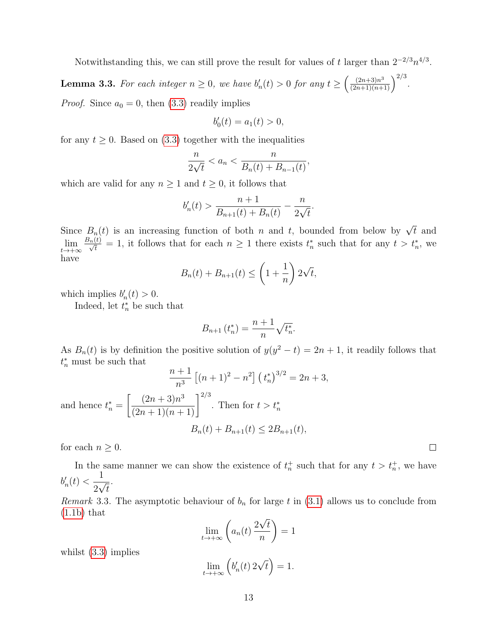Notwithstanding this, we can still prove the result for values of t larger than  $2^{-2/3}n^{4/3}$ .

**Lemma 3.3.** For each integer  $n \geq 0$ , we have  $b'_n(t) > 0$  for any  $t \geq \left(\frac{(2n+3)n^3}{(2n+1)(n+1)}\right)^{2/3}$ . *Proof.* Since  $a_0 = 0$ , then  $(3.3)$  readily implies

$$
b_0'(t) = a_1(t) > 0,
$$

for any  $t \geq 0$ . Based on [\(3.3\)](#page-11-2) together with the inequalities

$$
\frac{n}{2\sqrt{t}} < a_n < \frac{n}{B_n(t) + B_{n-1}(t)},
$$

which are valid for any  $n \geq 1$  and  $t \geq 0$ , it follows that

$$
b'_{n}(t) > \frac{n+1}{B_{n+1}(t) + B_{n}(t)} - \frac{n}{2\sqrt{t}}.
$$

<span id="page-13-0"></span>Since  $B_n(t)$  is an increasing function of both n and t, bounded from below by  $\sqrt{t}$  and lim  $t\rightarrow+\infty$  $\frac{B_n(t)}{\sqrt{t}} = 1$ , it follows that for each  $n \geq 1$  there exists  $t_n^*$  such that for any  $t > t_n^*$ , we have

$$
B_n(t) + B_{n+1}(t) \le \left(1 + \frac{1}{n}\right)2\sqrt{t},
$$

which implies  $b'_n(t) > 0$ .

Indeed, let  $t_n^*$  be such that

$$
B_{n+1}(t_n^*) = \frac{n+1}{n} \sqrt{t_n^*}.
$$

As  $B_n(t)$  is by definition the positive solution of  $y(y^2 - t) = 2n + 1$ , it readily follows that  $t_n^*$  must be such that

$$
\frac{n+1}{n^3} \left[ (n+1)^2 - n^2 \right] \left( t_n^* \right)^{3/2} = 2n+3,
$$
  
and hence  $t_n^* = \left[ \frac{(2n+3)n^3}{(2n+1)(n+1)} \right]^{2/3}$ . Then for  $t > t_n^*$   

$$
B_n(t) + B_{n+1}(t) \le 2B_{n+1}(t),
$$

for each  $n \geq 0$ .

In the same manner we can show the existence of  $t_n^+$  such that for any  $t > t_n^+$ , we have  $b'_n(t)$  < 1  $\overline{2\sqrt{t}}$ .

 $\Box$ 

Remark 3.3. The asymptotic behaviour of  $b_n$  for large t in [\(3.1\)](#page-11-4) allows us to conclude from  $(1.1b)$  that

<span id="page-13-1"></span>
$$
\lim_{t \to +\infty} \left( a_n(t) \, \frac{2\sqrt{t}}{n} \right) = 1
$$

whilst  $(3.3)$  implies

$$
\lim_{t \to +\infty} \left( b'_n(t) \, 2\sqrt{t} \right) = 1.
$$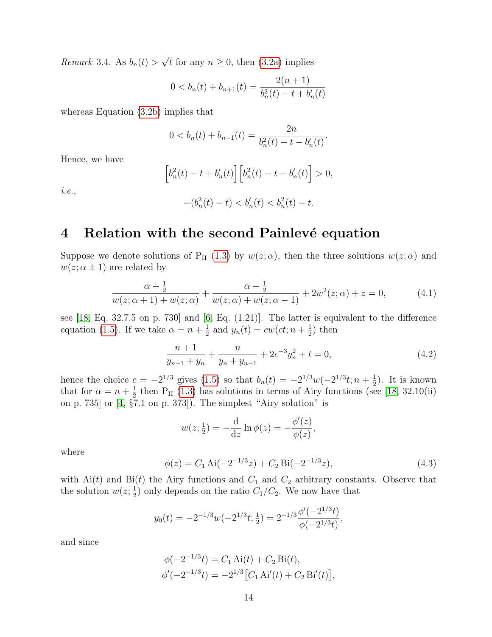*Remark* 3.4. As  $b_n(t) > \sqrt{t}$  for any  $n \ge 0$ , then [\(3.2a\)](#page-11-0) implies

$$
0 < b_n(t) + b_{n+1}(t) = \frac{2(n+1)}{b_n^2(t) - t + b_n'(t)}
$$

whereas Equation [\(3.2b\)](#page-11-1) implies that

$$
0 < b_n(t) + b_{n-1}(t) = \frac{2n}{b_n^2(t) - t - b_n'(t)}.
$$

Hence, we have

$$
\[b_n^2(t) - t + b'_n(t)\] \Big[ b_n^2(t) - t - b'_n(t) \Big] > 0,
$$

i.e.,

$$
-(b_n^2(t) - t) < b_n'(t) < b_n^2(t) - t.
$$

## 4 Relation with the second Painlevé equation

Suppose we denote solutions of P<sub>II</sub> [\(1.3\)](#page-1-4) by  $w(z; \alpha)$ , then the three solutions  $w(z; \alpha)$  and  $w(z; \alpha \pm 1)$  are related by

$$
\frac{\alpha + \frac{1}{2}}{w(z; \alpha + 1) + w(z; \alpha)} + \frac{\alpha - \frac{1}{2}}{w(z; \alpha) + w(z; \alpha - 1)} + 2w^2(z; \alpha) + z = 0,
$$
\n(4.1)

see  $[18, Eq. 32.7.5$  on p. 730 and  $[6, Eq. (1.21)]$ . The latter is equivalent to the difference equation [\(1.5\)](#page-1-1). If we take  $\alpha = n + \frac{1}{2}$  $\frac{1}{2}$  and  $y_n(t) = cw(ct; n + \frac{1}{2})$  $(\frac{1}{2})$  then

<span id="page-14-2"></span>
$$
\frac{n+1}{y_{n+1} + y_n} + \frac{n}{y_n + y_{n-1}} + 2c^{-3}y_n^2 + t = 0,
$$
\n(4.2)

hence the choice  $c = -2^{1/3}$  gives [\(1.5\)](#page-1-1) so that  $b_n(t) = -2^{1/3}w(-2^{1/3}t; n + \frac{1}{2})$  $(\frac{1}{2})$ . It is known that for  $\alpha = n + \frac{1}{2}$  $\frac{1}{2}$  then P<sub>II</sub> [\(1.3\)](#page-1-4) has solutions in terms of Airy functions (see [\[18,](#page-23-3) 32.10(ii) on p. 735] or [\[4,](#page-21-2) §7.1 on p. 373]). The simplest "Airy solution" is

<span id="page-14-5"></span><span id="page-14-1"></span><span id="page-14-0"></span>
$$
w(z; \frac{1}{2}) = -\frac{d}{dz} \ln \phi(z) = -\frac{\phi'(z)}{\phi(z)},
$$

where

<span id="page-14-4"></span>
$$
\phi(z) = C_1 \operatorname{Ai}(-2^{-1/3}z) + C_2 \operatorname{Bi}(-2^{-1/3}z),\tag{4.3}
$$

with  $Ai(t)$  and  $Bi(t)$  the Airy functions and  $C_1$  and  $C_2$  arbitrary constants. Observe that the solution  $w(z; \frac{1}{2})$  $\frac{1}{2}$ ) only depends on the ratio  $C_1/C_2$ . We now have that

$$
y_0(t) = -2^{-1/3}w(-2^{1/3}t; \frac{1}{2}) = 2^{-1/3}\frac{\phi'(-2^{1/3}t)}{\phi(-2^{1/3}t)},
$$

and since

<span id="page-14-3"></span>
$$
\phi(-2^{-1/3}t) = C_1 \text{ Ai}(t) + C_2 \text{ Bi}(t),
$$
  

$$
\phi'(-2^{-1/3}t) = -2^{1/3} [C_1 \text{ Ai}'(t) + C_2 \text{ Bi}'(t)],
$$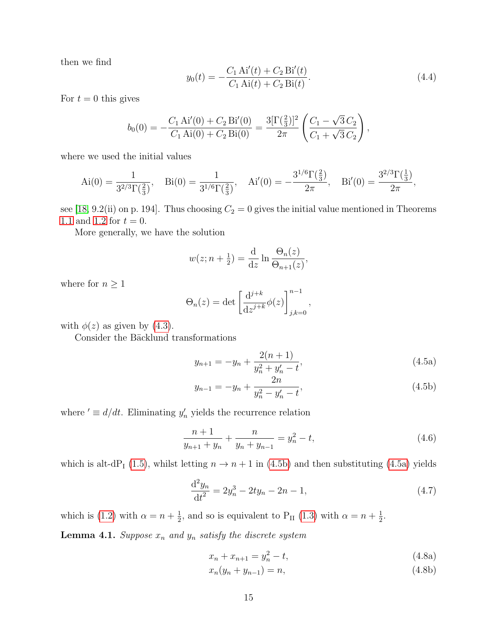then we find

<span id="page-15-1"></span><span id="page-15-0"></span>
$$
y_0(t) = -\frac{C_1 \text{ Ai}'(t) + C_2 \text{ Bi}'(t)}{C_1 \text{ Ai}(t) + C_2 \text{ Bi}(t)}.
$$
\n(4.4)

For  $t = 0$  this gives

<span id="page-15-2"></span>
$$
b_0(0) = -\frac{C_1 \text{ Ai}'(0) + C_2 \text{ Bi}'(0)}{C_1 \text{ Ai}(0) + C_2 \text{ Bi}(0)} = \frac{3[\Gamma(\frac{2}{3})]^2}{2\pi} \left(\frac{C_1 - \sqrt{3} C_2}{C_1 + \sqrt{3} C_2}\right),
$$

where we used the initial values

$$
\text{Ai}(0) = \frac{1}{3^{2/3}\Gamma(\frac{2}{3})}, \quad \text{Bi}(0) = \frac{1}{3^{1/6}\Gamma(\frac{2}{3})}, \quad \text{Ai}'(0) = -\frac{3^{1/6}\Gamma(\frac{2}{3})}{2\pi}, \quad \text{Bi}'(0) = \frac{3^{2/3}\Gamma(\frac{1}{3})}{2\pi},
$$

see [\[18,](#page-23-3) 9.2(ii) on p. 194]. Thus choosing  $C_2 = 0$  gives the initial value mentioned in Theorems [1.1](#page-1-2) and [1.2](#page-1-5) for  $t = 0$ .

More generally, we have the solution

$$
w(z; n + \frac{1}{2}) = \frac{d}{dz} \ln \frac{\Theta_n(z)}{\Theta_{n+1}(z)},
$$

where for  $n\geq 1$ 

$$
\Theta_n(z) = \det \left[ \frac{\mathrm{d}^{j+k}}{\mathrm{d}z^{j+k}} \phi(z) \right]_{j,k=0}^{n-1},
$$

with  $\phi(z)$  as given by [\(4.3\)](#page-13-1).

Consider the Bäcklund transformations

$$
y_{n+1} = -y_n + \frac{2(n+1)}{y_n^2 + y_n' - t},
$$
\n(4.5a)

<span id="page-15-4"></span><span id="page-15-3"></span>
$$
y_{n-1} = -y_n + \frac{2n}{y_n^2 - y_n' - t},
$$
\n(4.5b)

where  $' \equiv d/dt$ . Eliminating  $y'_n$  yields the recurrence relation

$$
\frac{n+1}{y_{n+1} + y_n} + \frac{n}{y_n + y_{n-1}} = y_n^2 - t,\tag{4.6}
$$

which is alt-dP<sub>I</sub> [\(1.5\)](#page-1-1), whilst letting  $n \to n+1$  in [\(4.5b\)](#page-14-0) and then substituting [\(4.5a\)](#page-14-1) yields

$$
\frac{\mathrm{d}^2 y_n}{\mathrm{d}t^2} = 2y_n^3 - 2ty_n - 2n - 1,\tag{4.7}
$$

which is [\(1.2\)](#page-1-0) with  $\alpha = n + \frac{1}{2}$  $\frac{1}{2}$ , and so is equivalent to P<sub>II</sub> [\(1.3\)](#page-1-4) with  $\alpha = n + \frac{1}{2}$  $\frac{1}{2}$ .

**Lemma 4.1.** Suppose  $x_n$  and  $y_n$  satisfy the discrete system

$$
x_n + x_{n+1} = y_n^2 - t,\tag{4.8a}
$$

$$
x_n(y_n + y_{n-1}) = n,\t\t(4.8b)
$$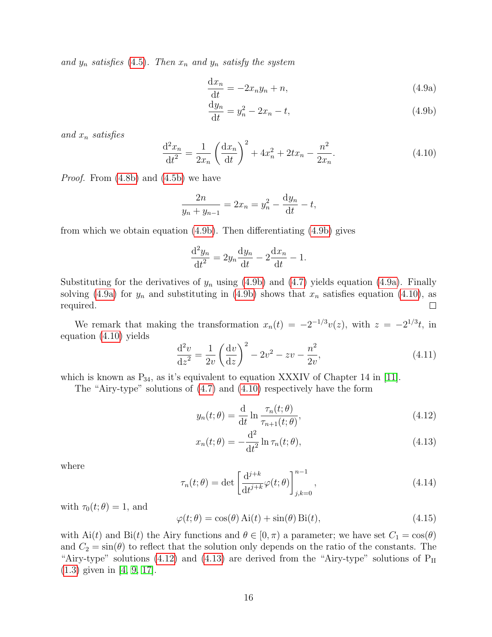and  $y_n$  satisfies [\(4.5\)](#page-14-2). Then  $x_n$  and  $y_n$  satisfy the system

<span id="page-16-0"></span>
$$
\frac{\mathrm{d}x_n}{\mathrm{d}t} = -2x_n y_n + n,\tag{4.9a}
$$

<span id="page-16-1"></span>
$$
\frac{\mathrm{d}y_n}{\mathrm{d}t} = y_n^2 - 2x_n - t,\tag{4.9b}
$$

and  $x_n$  satisfies

$$
\frac{d^2x_n}{dt^2} = \frac{1}{2x_n} \left(\frac{dx_n}{dt}\right)^2 + 4x_n^2 + 2tx_n - \frac{n^2}{2x_n}.
$$
\n(4.10)

Proof. From [\(4.8b\)](#page-14-3) and [\(4.5b\)](#page-14-0) we have

$$
\frac{2n}{y_n + y_{n-1}} = 2x_n = y_n^2 - \frac{dy_n}{dt} - t,
$$

from which we obtain equation [\(4.9b\)](#page-15-0). Then differentiating [\(4.9b\)](#page-15-0) gives

<span id="page-16-3"></span>
$$
\frac{\mathrm{d}^2 y_n}{\mathrm{d}t^2} = 2y_n \frac{\mathrm{d}y_n}{\mathrm{d}t} - 2\frac{\mathrm{d}x_n}{\mathrm{d}t} - 1.
$$

Substituting for the derivatives of  $y_n$  using [\(4.9b\)](#page-15-0) and [\(4.7\)](#page-14-4) yields equation [\(4.9a\)](#page-15-1). Finally solving [\(4.9a\)](#page-15-1) for  $y_n$  and substituting in [\(4.9b\)](#page-15-0) shows that  $x_n$  satisfies equation [\(4.10\)](#page-15-2), as required.  $\Box$ 

<span id="page-16-2"></span>We remark that making the transformation  $x_n(t) = -2^{-1/3}v(z)$ , with  $z = -2^{1/3}t$ , in equation [\(4.10\)](#page-15-2) yields

$$
\frac{d^2v}{dz^2} = \frac{1}{2v} \left(\frac{dv}{dz}\right)^2 - 2v^2 - zv - \frac{n^2}{2v},\tag{4.11}
$$

which is known as  $P_{34}$ , as it's equivalent to equation XXXIV of Chapter 14 in [\[11\]](#page-22-7).

The "Airy-type" solutions of [\(4.7\)](#page-14-4) and [\(4.10\)](#page-15-2) respectively have the form

$$
y_n(t; \theta) = \frac{\mathrm{d}}{\mathrm{d}t} \ln \frac{\tau_n(t; \theta)}{\tau_{n+1}(t; \theta)},
$$
\n(4.12)

$$
x_n(t; \theta) = -\frac{\mathrm{d}^2}{\mathrm{d}t^2} \ln \tau_n(t; \theta), \tag{4.13}
$$

where

$$
\tau_n(t;\theta) = \det \left[ \frac{\mathrm{d}^{j+k}}{\mathrm{d}t^{j+k}} \varphi(t;\theta) \right]_{j,k=0}^{n-1},\tag{4.14}
$$

with  $\tau_0(t; \theta) = 1$ , and

$$
\varphi(t; \theta) = \cos(\theta) \operatorname{Ai}(t) + \sin(\theta) \operatorname{Bi}(t),\tag{4.15}
$$

with Ai(t) and Bi(t) the Airy functions and  $\theta \in [0, \pi)$  a parameter; we have set  $C_1 = \cos(\theta)$ and  $C_2 = \sin(\theta)$  to reflect that the solution only depends on the ratio of the constants. The "Airy-type" solutions [\(4.12\)](#page-15-3) and [\(4.13\)](#page-15-4) are derived from the "Airy-type" solutions of  $P_{II}$ [\(1.3\)](#page-1-4) given in [\[4,](#page-21-2) [9,](#page-22-6) [17\]](#page-23-2).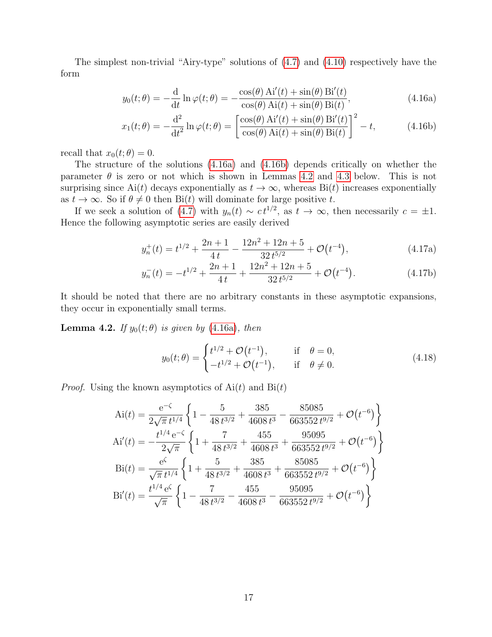The simplest non-trivial "Airy-type" solutions of [\(4.7\)](#page-14-4) and [\(4.10\)](#page-15-2) respectively have the form

$$
y_0(t; \theta) = -\frac{\mathrm{d}}{\mathrm{d}t} \ln \varphi(t; \theta) = -\frac{\cos(\theta) \mathrm{Ai}'(t) + \sin(\theta) \mathrm{Bi}'(t)}{\cos(\theta) \mathrm{Ai}(t) + \sin(\theta) \mathrm{Bi}(t)},\tag{4.16a}
$$

$$
x_1(t; \theta) = -\frac{\mathrm{d}^2}{\mathrm{d}t^2} \ln \varphi(t; \theta) = \left[ \frac{\cos(\theta) \mathrm{Ai}'(t) + \sin(\theta) \mathrm{Bi}'(t)}{\cos(\theta) \mathrm{Ai}(t) + \sin(\theta) \mathrm{Bi}(t)} \right]^2 - t,\tag{4.16b}
$$

recall that  $x_0(t; \theta) = 0$ .

The structure of the solutions [\(4.16a\)](#page-16-0) and [\(4.16b\)](#page-16-1) depends critically on whether the parameter  $\theta$  is zero or not which is shown in Lemmas [4.2](#page-16-2) and [4.3](#page-18-1) below. This is not surprising since Ai(t) decays exponentially as  $t \to \infty$ , whereas Bi(t) increases exponentially as  $t \to \infty$ . So if  $\theta \neq 0$  then Bi(t) will dominate for large positive t.

If we seek a solution of [\(4.7\)](#page-14-4) with  $y_n(t) \sim ct^{1/2}$ , as  $t \to \infty$ , then necessarily  $c = \pm 1$ . Hence the following asymptotic series are easily derived

$$
y_n^+(t) = t^{1/2} + \frac{2n+1}{4t} - \frac{12n^2 + 12n + 5}{32t^{5/2}} + \mathcal{O}(t^{-4}),
$$
\n(4.17a)

$$
y_n^-(t) = -t^{1/2} + \frac{2n+1}{4t} + \frac{12n^2 + 12n + 5}{32t^{5/2}} + \mathcal{O}(t^{-4}).
$$
 (4.17b)

It should be noted that there are no arbitrary constants in these asymptotic expansions, they occur in exponentially small terms.

**Lemma 4.2.** If  $y_0(t; \theta)$  is given by [\(4.16a\)](#page-16-0), then

$$
y_0(t; \theta) = \begin{cases} t^{1/2} + \mathcal{O}(t^{-1}), & \text{if } \theta = 0, \\ -t^{1/2} + \mathcal{O}(t^{-1}), & \text{if } \theta \neq 0. \end{cases}
$$
(4.18)

*Proof.* Using the known asymptotics of  $Ai(t)$  and  $Bi(t)$ 

$$
Ai(t) = \frac{e^{-\zeta}}{2\sqrt{\pi} t^{1/4}} \left\{ 1 - \frac{5}{48 t^{3/2}} + \frac{385}{4608 t^3} - \frac{85085}{663552 t^{9/2}} + \mathcal{O}(t^{-6}) \right\}
$$
  
\n
$$
Ai'(t) = -\frac{t^{1/4} e^{-\zeta}}{2\sqrt{\pi}} \left\{ 1 + \frac{7}{48 t^{3/2}} + \frac{455}{4608 t^3} + \frac{95095}{663552 t^{9/2}} + \mathcal{O}(t^{-6}) \right\}
$$
  
\n
$$
Bi(t) = \frac{e^{\zeta}}{\sqrt{\pi} t^{1/4}} \left\{ 1 + \frac{5}{48 t^{3/2}} + \frac{385}{4608 t^3} + \frac{85085}{663552 t^{9/2}} + \mathcal{O}(t^{-6}) \right\}
$$
  
\n
$$
Bi'(t) = \frac{t^{1/4} e^{\zeta}}{\sqrt{\pi}} \left\{ 1 - \frac{7}{48 t^{3/2}} - \frac{455}{4608 t^3} - \frac{95095}{663552 t^{9/2}} + \mathcal{O}(t^{-6}) \right\}
$$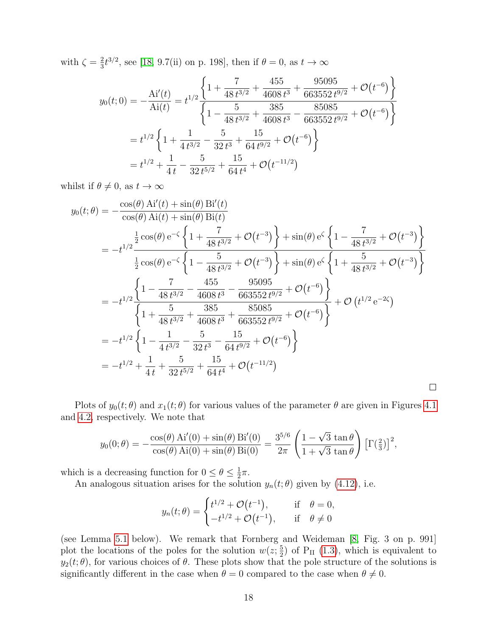with  $\zeta = \frac{2}{3}$  $\frac{2}{3}t^{3/2}$ , see [\[18,](#page-23-3) 9.7(ii) on p. 198], then if  $\theta = 0$ , as  $t \to \infty$ 

$$
y_0(t;0) = -\frac{Ai'(t)}{Ai(t)} = t^{1/2} \frac{\left\{1 + \frac{7}{48 t^{3/2}} + \frac{455}{4608 t^3} + \frac{95095}{663552 t^{9/2}} + \mathcal{O}(t^{-6})\right\}}{\left\{1 - \frac{5}{48 t^{3/2}} + \frac{385}{4608 t^3} - \frac{85085}{663552 t^{9/2}} + \mathcal{O}(t^{-6})\right\}}
$$
  
=  $t^{1/2} \left\{1 + \frac{1}{4 t^{3/2}} - \frac{5}{32 t^3} + \frac{15}{64 t^{9/2}} + \mathcal{O}(t^{-6})\right\}$   
=  $t^{1/2} + \frac{1}{4 t} - \frac{5}{32 t^{5/2}} + \frac{15}{64 t^4} + \mathcal{O}(t^{-11/2})$ 

whilst if  $\theta \neq 0$ , as  $t \to \infty$ 

<span id="page-18-2"></span><span id="page-18-1"></span>
$$
y_0(t; \theta) = -\frac{\cos(\theta) A i'(t) + \sin(\theta) B i'(t)}{\cos(\theta) A i(t) + \sin(\theta) B i(t)}
$$
  
\n
$$
= -t^{1/2} \frac{\frac{1}{2} \cos(\theta) e^{-\zeta} \left\{ 1 + \frac{7}{48 t^{3/2}} + \mathcal{O}(t^{-3}) \right\} + \sin(\theta) e^{\zeta} \left\{ 1 - \frac{7}{48 t^{3/2}} + \mathcal{O}(t^{-3}) \right\}}{\frac{1}{2} \cos(\theta) e^{-\zeta} \left\{ 1 - \frac{5}{48 t^{3/2}} + \mathcal{O}(t^{-3}) \right\} + \sin(\theta) e^{\zeta} \left\{ 1 + \frac{5}{48 t^{3/2}} + \mathcal{O}(t^{-3}) \right\}}
$$
  
\n
$$
= -t^{1/2} \frac{\left\{ 1 - \frac{7}{48 t^{3/2}} - \frac{455}{4608 t^3} - \frac{95095}{663552 t^{9/2}} + \mathcal{O}(t^{-6}) \right\}}{\left\{ 1 + \frac{5}{48 t^{3/2}} + \frac{385}{4608 t^3} + \frac{85085}{663552 t^{9/2}} + \mathcal{O}(t^{-6}) \right\}}
$$
  
\n
$$
= -t^{1/2} \left\{ 1 - \frac{1}{4 t^{3/2}} - \frac{5}{32 t^3} - \frac{15}{64 t^{9/2}} + \mathcal{O}(t^{-6}) \right\}
$$
  
\n
$$
= -t^{1/2} + \frac{1}{4 t} + \frac{5}{32 t^{5/2}} + \frac{15}{64 t^4} + \mathcal{O}(t^{-11/2})
$$

<span id="page-18-0"></span>Plots of  $y_0(t; \theta)$  and  $x_1(t; \theta)$  for various values of the parameter  $\theta$  are given in Figures [4.1](#page-18-2) and [4.2,](#page-19-0) respectively. We note that

 $\Box$ 

$$
y_0(0; \theta) = -\frac{\cos(\theta) A i'(0) + \sin(\theta) B i'(0)}{\cos(\theta) A i(0) + \sin(\theta) B i(0)} = \frac{3^{5/6}}{2\pi} \left( \frac{1 - \sqrt{3} \tan \theta}{1 + \sqrt{3} \tan \theta} \right) [\Gamma(\frac{2}{3})]^2,
$$

which is a decreasing function for  $0 \leq \theta \leq \frac{1}{2}$  $rac{1}{2}\pi$ .

An analogous situation arises for the solution  $y_n(t; \theta)$  given by [\(4.12\)](#page-15-3), i.e.

<span id="page-18-3"></span>
$$
y_n(t; \theta) = \begin{cases} t^{1/2} + \mathcal{O}(t^{-1}), & \text{if } \theta = 0, \\ -t^{1/2} + \mathcal{O}(t^{-1}), & \text{if } \theta \neq 0 \end{cases}
$$

(see Lemma [5.1](#page-19-1) below). We remark that Fornberg and Weideman [\[8,](#page-22-8) Fig. 3 on p. 991] plot the locations of the poles for the solution  $w(z; \frac{5}{2})$  $(\frac{5}{2})$  of P<sub>II</sub> [\(1.3\)](#page-1-4), which is equivalent to  $y_2(t; \theta)$ , for various choices of  $\theta$ . These plots show that the pole structure of the solutions is significantly different in the case when  $\theta = 0$  compared to the case when  $\theta \neq 0$ .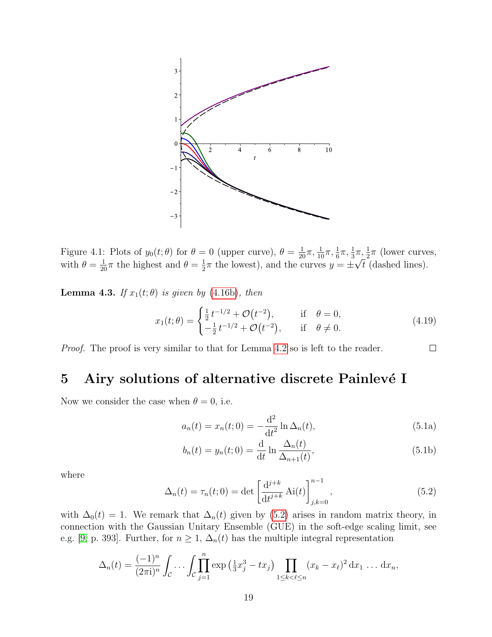

<span id="page-19-0"></span>Figure 4.1: Plots of  $y_0(t;\theta)$  for  $\theta=0$  (upper curve),  $\theta=\frac{1}{20}\pi,\frac{1}{10}\pi,\frac{1}{6}\pi,\frac{1}{3}\pi,\frac{1}{2}\pi$  (lower curves, with  $\theta = \frac{1}{20}\pi$  the highest and  $\theta = \frac{1}{2}$  $\frac{1}{2}\pi$  the lowest), and the curves  $y = \pm \sqrt{t}$  (dashed lines).

<span id="page-19-1"></span>**Lemma 4.3.** If  $x_1(t; \theta)$  is given by [\(4.16b\)](#page-16-1), then

$$
x_1(t; \theta) = \begin{cases} \frac{1}{2} t^{-1/2} + \mathcal{O}(t^{-2}), & \text{if } \theta = 0, \\ -\frac{1}{2} t^{-1/2} + \mathcal{O}(t^{-2}), & \text{if } \theta \neq 0. \end{cases}
$$
(4.19)

Proof. The proof is very similar to that for Lemma [4.2](#page-16-2) so is left to the reader.

# 5 Airy solutions of alternative discrete Painlevé I

Now we consider the case when  $\theta = 0$ , i.e.

$$
a_n(t) = x_n(t; 0) = -\frac{d^2}{dt^2} \ln \Delta_n(t),
$$
\n(5.1a)

<span id="page-19-3"></span><span id="page-19-2"></span> $\Box$ 

$$
b_n(t) = y_n(t; 0) = \frac{\mathrm{d}}{\mathrm{d}t} \ln \frac{\Delta_n(t)}{\Delta_{n+1}(t)},
$$
\n(5.1b)

where

$$
\Delta_n(t) = \tau_n(t; 0) = \det \left[ \frac{d^{j+k}}{dt^{j+k}} Ai(t) \right]_{j,k=0}^{n-1}, \qquad (5.2)
$$

with  $\Delta_0(t) = 1$ . We remark that  $\Delta_n(t)$  given by [\(5.2\)](#page-18-3) arises in random matrix theory, in connection with the Gaussian Unitary Ensemble (GUE) in the soft-edge scaling limit, see e.g. [\[9,](#page-22-6) p. 393]. Further, for  $n \geq 1$ ,  $\Delta_n(t)$  has the multiple integral representation

$$
\Delta_n(t) = \frac{(-1)^n}{(2\pi i)^n} \int_C \cdots \int_C \prod_{j=1}^n \exp\left(\frac{1}{3}x_j^3 - tx_j\right) \prod_{1 \le k < \ell \le n} (x_k - x_\ell)^2 \, \mathrm{d}x_1 \, \dots \, \mathrm{d}x_n,
$$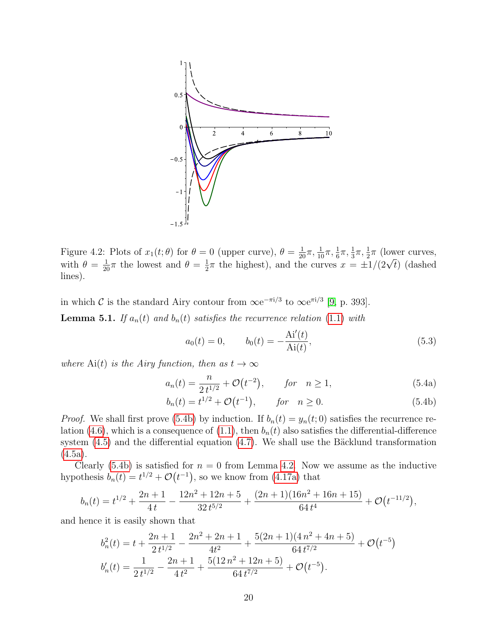

Figure 4.2: Plots of  $x_1(t;\theta)$  for  $\theta = 0$  (upper curve),  $\theta = \frac{1}{20}\pi, \frac{1}{10}\pi, \frac{1}{6}\pi, \frac{1}{3}\pi, \frac{1}{2}\pi$  (lower curves, with  $\theta = \frac{1}{20}\pi$  the lowest and  $\theta = \frac{1}{2}$  $\frac{1}{2}\pi$  the highest), and the curves  $x = \pm 1/(2\sqrt{t})$  (dashed lines).

in which C is the standard Airy contour from  $\infty e^{-\pi i/3}$  to  $\infty e^{\pi i/3}$  [\[9,](#page-22-6) p. 393]. **Lemma 5.1.** If  $a_n(t)$  and  $b_n(t)$  satisfies the recurrence relation [\(1.1\)](#page-0-2) with

$$
a_0(t) = 0, \t b_0(t) = -\frac{\text{Ai}'(t)}{\text{Ai}(t)}, \t (5.3)
$$

<span id="page-20-0"></span>where Ai(t) is the Airy function, then as  $t \to \infty$ 

$$
a_n(t) = \frac{n}{2t^{1/2}} + \mathcal{O}(t^{-2}), \qquad \text{for} \quad n \ge 1,
$$
 (5.4a)

$$
b_n(t) = t^{1/2} + \mathcal{O}(t^{-1}), \qquad \text{for} \quad n \ge 0. \tag{5.4b}
$$

*Proof.* We shall first prove [\(5.4b\)](#page-19-2) by induction. If  $b_n(t) = y_n(t; 0)$  satisfies the recurrence re-lation [\(4.6\)](#page-14-5), which is a consequence of [\(1.1\)](#page-0-2), then  $b_n(t)$  also satisfies the differential-difference system  $(4.5)$  and the differential equation  $(4.7)$ . We shall use the Bäcklund transformation [\(4.5a\)](#page-14-1).

Clearly [\(5.4b\)](#page-19-2) is satisfied for  $n = 0$  from Lemma [4.2.](#page-16-2) Now we assume as the inductive hypothesis  $b_n(t) = t^{1/2} + \mathcal{O}(t^{-1})$ , so we know from [\(4.17a\)](#page-16-3) that

$$
b_n(t) = t^{1/2} + \frac{2n+1}{4t} - \frac{12n^2 + 12n + 5}{32t^{5/2}} + \frac{(2n+1)(16n^2 + 16n + 15)}{64t^4} + \mathcal{O}(t^{-11/2}),
$$

and hence it is easily shown that

$$
b_n^2(t) = t + \frac{2n+1}{2t^{1/2}} - \frac{2n^2+2n+1}{4t^2} + \frac{5(2n+1)(4n^2+4n+5)}{64t^{7/2}} + \mathcal{O}(t^{-5})
$$
  

$$
b_n'(t) = \frac{1}{2t^{1/2}} - \frac{2n+1}{4t^2} + \frac{5(12n^2+12n+5)}{64t^{7/2}} + \mathcal{O}(t^{-5}).
$$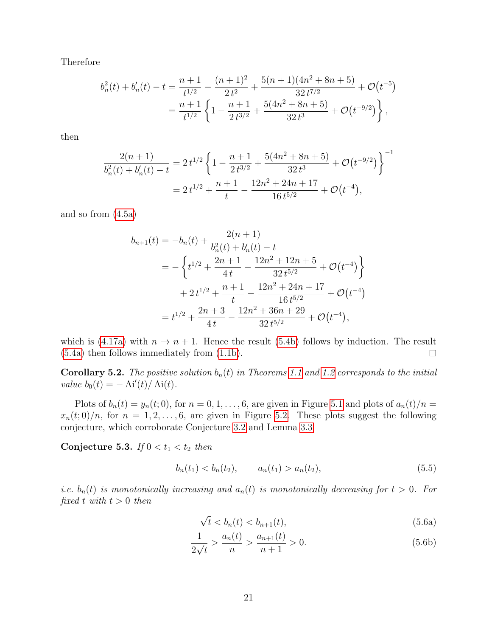Therefore

$$
b_n^2(t) + b_n'(t) - t = \frac{n+1}{t^{1/2}} - \frac{(n+1)^2}{2t^2} + \frac{5(n+1)(4n^2 + 8n + 5)}{32t^{7/2}} + \mathcal{O}(t^{-5})
$$
  
= 
$$
\frac{n+1}{t^{1/2}} \left\{ 1 - \frac{n+1}{2t^{3/2}} + \frac{5(4n^2 + 8n + 5)}{32t^3} + \mathcal{O}(t^{-9/2}) \right\},
$$

then

$$
\frac{2(n+1)}{b_n^2(t) + b_n'(t) - t} = 2t^{1/2} \left\{ 1 - \frac{n+1}{2t^{3/2}} + \frac{5(4n^2 + 8n + 5)}{32t^3} + \mathcal{O}(t^{-9/2}) \right\}^{-1}
$$

$$
= 2t^{1/2} + \frac{n+1}{t} - \frac{12n^2 + 24n + 17}{16t^{5/2}} + \mathcal{O}(t^{-4}),
$$

and so from [\(4.5a\)](#page-14-1)

<span id="page-21-5"></span>
$$
b_{n+1}(t) = -b_n(t) + \frac{2(n+1)}{b_n^2(t) + b_n'(t) - t}
$$
  
=  $-\left\{ t^{1/2} + \frac{2n+1}{4t} - \frac{12n^2 + 12n + 5}{32t^{5/2}} + \mathcal{O}(t^{-4}) \right\}$   
 $+ 2t^{1/2} + \frac{n+1}{t} - \frac{12n^2 + 24n + 17}{16t^{5/2}} + \mathcal{O}(t^{-4})$   
=  $t^{1/2} + \frac{2n+3}{4t} - \frac{12n^2 + 36n + 29}{32t^{5/2}} + \mathcal{O}(t^{-4}),$ 

which is [\(4.17a\)](#page-16-3) with  $n \to n + 1$ . Hence the result [\(5.4b\)](#page-19-2) follows by induction. The result (5.4a) then follows immediately from (1.1b). [\(5.4a\)](#page-19-3) then follows immediately from [\(1.1b\)](#page-0-0).

<span id="page-21-4"></span>**Corollary 5.2.** The positive solution  $b_n(t)$  in Theorems [1.1](#page-1-2) and [1.2](#page-1-5) corresponds to the initial value  $b_0(t) = -Ai'(t)/Ai(t)$ .

Plots of  $b_n(t) = y_n(t; 0)$ , for  $n = 0, 1, ..., 6$ , are given in Figure [5.1](#page-21-5) and plots of  $a_n(t)/n =$  $x_n(t;0)/n$ , for  $n = 1, 2, \ldots, 6$ , are given in Figure [5.2.](#page-22-9) These plots suggest the following conjecture, which corroborate Conjecture [3.2](#page-11-5) and Lemma [3.3.](#page-12-0)

<span id="page-21-3"></span><span id="page-21-0"></span>Conjecture 5.3. If  $0 < t_1 < t_2$  then

$$
b_n(t_1) < b_n(t_2), \qquad a_n(t_1) > a_n(t_2), \tag{5.5}
$$

<span id="page-21-2"></span><span id="page-21-1"></span>*i.e.*  $b_n(t)$  is monotonically increasing and  $a_n(t)$  is monotonically decreasing for  $t > 0$ . For fixed t with  $t > 0$  then

$$
\sqrt{t} < b_n(t) < b_{n+1}(t),\tag{5.6a}
$$

$$
\frac{1}{2\sqrt{t}} > \frac{a_n(t)}{n} > \frac{a_{n+1}(t)}{n+1} > 0. \tag{5.6b}
$$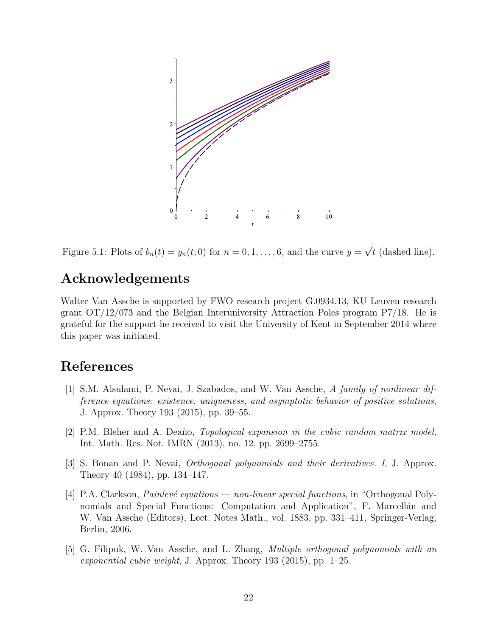

<span id="page-22-9"></span>Figure 5.1: Plots of  $b_n(t) = y_n(t; 0)$  for  $n = 0, 1, ..., 6$ , and the curve  $y = \sqrt{t}$  (dashed line).

# <span id="page-22-0"></span>Acknowledgements

<span id="page-22-3"></span>Walter Van Assche is supported by FWO research project G.0934.13, KU Leuven research grant OT/12/073 and the Belgian Interuniversity Attraction Poles program P7/18. He is grateful for the support he received to visit the University of Kent in September 2014 where this paper was initiated.

# <span id="page-22-8"></span>References

- <span id="page-22-6"></span>[1] S.M. Alsulami, P. Nevai, J. Szabados, and W. Van Assche, A family of nonlinear difference equations: existence, uniqueness, and asymptotic behavior of positive solutions, J. Approx. Theory 193 (2015), pp. 39–55.
- <span id="page-22-2"></span>[2] P.M. Bleher and A. Deaño, *Topological expansion in the cubic random matrix model*, Int. Math. Res. Not. IMRN (2013), no. 12, pp. 2699–2755.
- <span id="page-22-7"></span>[3] S. Bonan and P. Nevai, Orthogonal polynomials and their derivatives. I, J. Approx. Theory 40 (1984), pp. 134–147.
- <span id="page-22-5"></span><span id="page-22-4"></span>[4] P.A. Clarkson, *Painlevé equations — non-linear special functions*, in "Orthogonal Polynomials and Special Functions: Computation and Application", F. Marcellan and W. Van Assche (Editors), Lect. Notes Math., vol. 1883, pp. 331–411, Springer-Verlag, Berlin, 2006.
- <span id="page-22-1"></span>[5] G. Filipuk, W. Van Assche, and L. Zhang, Multiple orthogonal polynomials with an exponential cubic weight, J. Approx. Theory 193 (2015), pp. 1–25.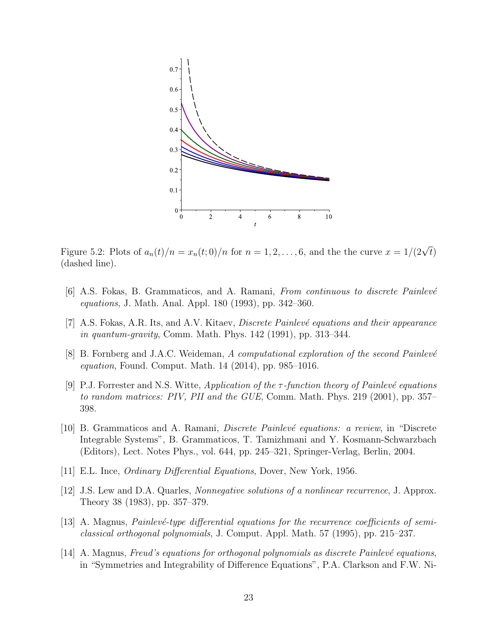<span id="page-23-1"></span>

<span id="page-23-3"></span><span id="page-23-2"></span><span id="page-23-0"></span>Figure 5.2: Plots of  $a_n(t)/n = x_n(t,0)/n$  for  $n = 1,2,\ldots,6$ , and the the curve  $x = 1/(2\sqrt{t})$ (dashed line).

- [6] A.S. Fokas, B. Grammaticos, and A. Ramani, From continuous to discrete Painlevé equations, J. Math. Anal. Appl. 180 (1993), pp. 342–360.
- [7] A.S. Fokas, A.R. Its, and A.V. Kitaev, *Discrete Painlevé equations and their appearance* in quantum-gravity, Comm. Math. Phys. 142 (1991), pp. 313–344.
- [8] B. Fornberg and J.A.C. Weideman, A computational exploration of the second Painlevé equation, Found. Comput. Math. 14 (2014), pp. 985–1016.
- [9] P.J. Forrester and N.S. Witte, Application of the  $\tau$ -function theory of Painlevé equations to random matrices: PIV, PII and the GUE, Comm. Math. Phys. 219 (2001), pp. 357– 398.
- [10] B. Grammaticos and A. Ramani, *Discrete Painlevé equations: a review*, in "Discrete" Integrable Systems", B. Grammaticos, T. Tamizhmani and Y. Kosmann-Schwarzbach (Editors), Lect. Notes Phys., vol. 644, pp. 245–321, Springer-Verlag, Berlin, 2004.
- [11] E.L. Ince, Ordinary Differential Equations, Dover, New York, 1956.
- [12] J.S. Lew and D.A. Quarles, *Nonnegative solutions of a nonlinear recurrence*, J. Approx. Theory 38 (1983), pp. 357–379.
- $[13]$  A. Magnus, *Painlevé-type differential equations for the recurrence coefficients of semi*classical orthogonal polynomials, J. Comput. Appl. Math. 57 (1995), pp. 215–237.
- [14] A. Magnus, Freud's equations for orthogonal polynomials as discrete Painlevé equations, in "Symmetries and Integrability of Difference Equations", P.A. Clarkson and F.W. Ni-